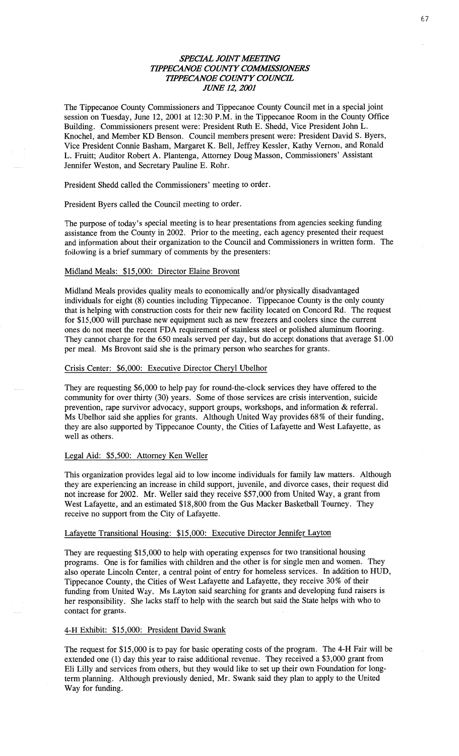# **SPECIAL JOINT MEETING TIPPECANOE COUNTY COMMISSIONERS TIPPECANOE COUNTY COUNCIL** *JUNE* 12, *2001*

The Tippecanoe County Commissioners and **Tippecanoe** County Council met in a special joint session on Tuesday, June 12, 2001 at 12:30 **P.M.** in the Tippecanoe Room in the County Office Building. Commissioners present were: President Ruth E. Shedd, Vice President John L. Knochel, and Member KD Benson. Council members present were: President David S. Byers, **Vice** President **Connie** Basham, Margaret K. Bell, Jeffrey Kessler, Kathy Vernon, and Ronald L. Fruitt; Auditor Robert A. Plantenga, Attorney Doug **Masson, Commissioners' Assistant**  Jennifer **Weston,** and Secretary Pauline E. Rohr.

President Shedd called the Commissioners' meeting to order.

President Byers called the Council meeting to order.

The purpose of today's special meeting is to hear presentations from agencies seeking funding assistance **from** the County in 2002. Prior to the meeting, each agency presented their reques<sup>t</sup> and information about their organization to the Council and Commissioners in written **form.** The following is **a** brief summary of comments by the presenters:

### Midland Meals: \$15,000: Director Elaine Brovont

Midland Meals provides quality meals to economically and/or physically disadvantaged **individuals** for eight (8) counties including Tippecanoe. Tippecanoe County is the only county that is helping with construction costs for their new facility located on Concord Rd. The request for \$15,000 will purchase new equipment **such** as new freezers and coolers since the current ones do not meet the recent FDA requirement of stainless steel or polished aluminum flooring. They **cannot** charge for the 650 meals served per day, but do accept donations that average **\$1.00**  per meal. Ms Brovont **said** she is the primary person who searches for grants.

### Crisis Center: \$6,000: Executive Director Cheryl Ubelhor

They are requesting \$6,000 to help pay for round-the-clock services they have offered to the community for over thirty (30) **years.** Some of those **services** are crisis intervention, suicide prevention, rape survivor advocacy, support groups, workshops, and information & referral. Ms Ubelhor **said** she applies for grants. Although **United** Way provides 68% of their funding, they are also supported by Tippecanoe County, the Cities of Lafayette and West Lafayette, as well as others.

### Legal Aid: \$5,500: Attorney Ken Weller

This organization provides legal aid to low income individuals for family law matters. Although they are experiencing an increase in child support, juvenile, and divorce cases, their request did not increase for 2002. Mr. Weller said they receive \$57,000 from United Way, a grant from West Lafayette, and an estimated \$18,800 from the Gus Macker Basketball Tourney. They receive no support from the City of Lafayette.

#### Lafayette **Transitional** Housing: \$15,000: Executive Director Jennifer Layton

They are requesting \$15,000 to help with operating expenses for two transitional housing programs. One is for families with children and the other is for single men and **women.** They also operate Lincoln Center, **a** central point of entry for homeless services. In addition to HUD, Tippecanoe County, the Cities of West Lafayette and Lafayette, they receive 30% of their funding from United Way. Ms Layton said searching for grants and developing fund raisers is her responsibility. She **lacks** staff to help with the search but said the State **helps** with who to contact for grants. *.* 

## 4-H Exhibit: \$15,000: President David Swank

The request for \$15,000 is to pay for basic operating costs of the program. The 4-H Fair will be extended one (1) day this year to raise additional revenue. They received a \$3,000 grant from Eli Lilly and services from others, but they would like to set up their own Foundation for longterm planning. Although previously denied, Mr. **Swank** said they plan to apply to the United Way for **funding.**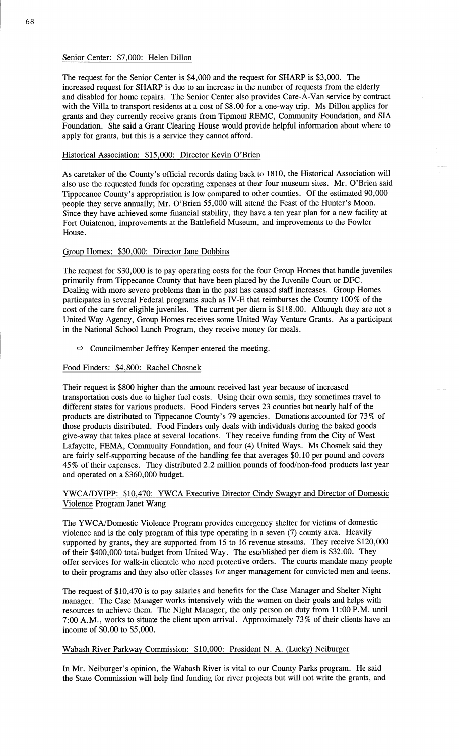### Senior Center: \$7,000: Helen Dillon

The request for the Senior Center is \$4,000 and the request for SHARP is \$3,000. The increased request for **SHARP** is due to an increase in the number of requests from the elderly and disabled for home repairs. The Senior Center also provides Care-A-Van service by contract with the Villa to transport residents at a cost of \$8.00 for a one-way **trip.** Ms Dillon applies for grants and they currently receive grants from Tipmont REMC, Community Foundation, and SIA Foundation. She said a Grant Clearing House would provide helpful information about where to apply for grants, but **this** is **a** service they cannot afford.

# **Historical** Association: \$15,000: Director **Kevin** O'Brien

As caretaker of the County's official records dating back to 1810, the Historical Association will also use the requested funds for operating expenses at their four museum sites. Mr. **O'Brien** said **Tippecanoe** County's appropriation is low compared to other counties. Of the estimated 90,000 people they serve annually; Mr. O'Brien 55,000 will attend the Feast of the Hunter's Moon. Since they have achieved some **financial** stability, they **have a** ten year plan for a new facility at Fort Ouiatenon, improvements at the Battlefield Museum, and improvements to the Fowler House.

### Group Homes: \$30,000: Director Jane Dobbins

The request for \$30,000 is to pay operating costs for the four Group **Homes** that **handle** juveniles primarily from Tippecanoe County that have been placed by the Juvenile Court or DFC. Dealing with more severe problems **than** in the **past** has caused staff increases. Group Homes participates in several Federal programs such as **IV-E that** reimburses the County 100% of the cost of the care for eligible juveniles. The current per diem is **\$118.00.** Although they are not **<sup>a</sup>** United Way Agency, Group Homes receives **some** United Way Venture Grants. As a participant in the National School **Lunch** Program, they receive money for meals.

 $\Rightarrow$  Councilmember Jeffrey Kemper entered the meeting.

### Food Finders: \$4,800: Rachel Chosnek

Their request is \$800 higher than the amount received last year because of increased transportation costs due to higher fuel **costs.** Using their own semis, they sometimes travel to different states for various products. Food Finders serves 23 counties but nearly **half** of the products are distributed to Tippecanoe County's 79 agencies. Donations accounted for 73% of those products distributed. Food Finders only deals with individuals during the baked goods give-away **that** takes place at several locations. They receive funding from the City of West Lafayette, FEMA, Community Foundation, and four (4) United Ways. Ms Chosnek said they are fairly self-supporting because of the handling fee that averages **\$0.10** per pound and covers 45% of their expenses. They distributed 2.2 **million pounds** of **food/non—food** products last year and **operated** on a \$360,000 budget.

### **YWCA/DVIPP:** \$10,470: YWCA Executive Director Cindy Swagyr and Director of Domestic Violence Program Janet **Wang**

The YWCA/Domestic Violence Program provides emergency shelter for victims of domestic violence and is the only program of this type operating in **a** seven (7) county area. Heavily supported by grants, they are supported from 15 to 16 revenue streams. They receive \$120,000 of their \$400,000 total budget from United Way. The established per diem is \$32.00. They offer services for walk-in clientele who need protective orders. The courts mandate many people to their programs and they **also** offer classes for anger **management** for convicted men and teens.

The request of \$10,470 is to pay salaries and benefits for the **Case** Manager and Shelter Night manager. The Case Manager works intensively with the women on their goals and helps with resources to achieve them. The Night Manager, the only person on duty from 11:00 P.M. until 7:00 A.M., works to situate the client upon arrival. Approximately 73% of their clients have an income of \$0.00 to **\$5,000.** 

### Wabash River Parkway Commission: \$10,000: President N. A. (Lucky) Neiburger

In Mr. Neiburger's opinion, the Wabash River is vital to our County Parks program. He said the State Commission will help find funding for river projects but will not write the grants, and